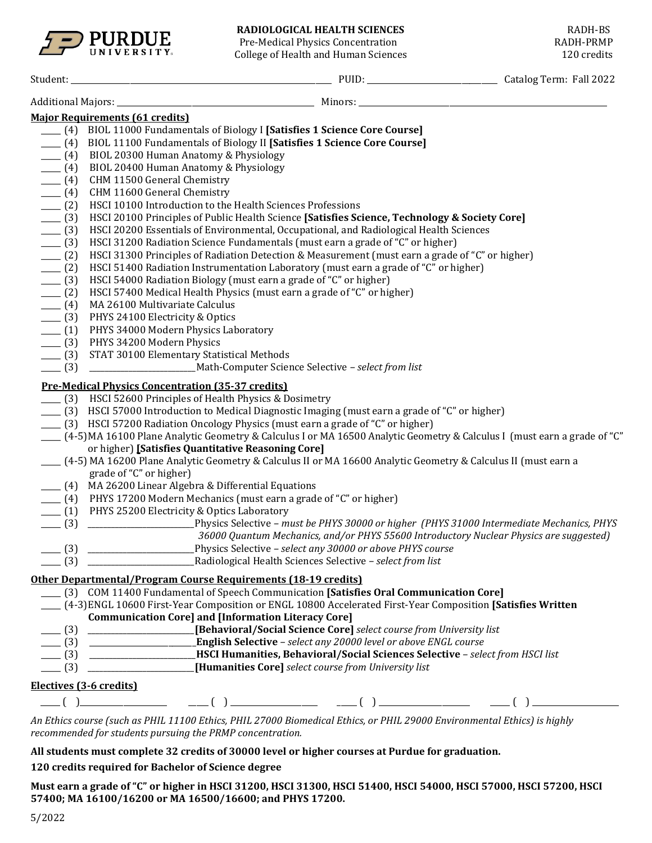

Pre-Medical Physics Concentration<br>College of Health and Human Sciences and results and RADH-PRMP College of Health and Human Sciences

| Student: |  |
|----------|--|
|          |  |
|          |  |

|                    | <b>Major Requirements (61 credits)</b>                                                                                       |
|--------------------|------------------------------------------------------------------------------------------------------------------------------|
|                    | ___ (4) BIOL 11000 Fundamentals of Biology I [Satisfies 1 Science Core Course]                                               |
|                    | ___ (4) BIOL 11100 Fundamentals of Biology II [Satisfies 1 Science Core Course]                                              |
|                    | (4) BIOL 20300 Human Anatomy & Physiology                                                                                    |
| $- (4)$            | BIOL 20400 Human Anatomy & Physiology                                                                                        |
| $- (4)$            | CHM 11500 General Chemistry                                                                                                  |
| $- (4)$            | CHM 11600 General Chemistry                                                                                                  |
|                    | HSCI 10100 Introduction to the Health Sciences Professions                                                                   |
| $- (2)$<br>$- (3)$ | HSCI 20100 Principles of Public Health Science [Satisfies Science, Technology & Society Core]                                |
| $- (3)$            | HSCI 20200 Essentials of Environmental, Occupational, and Radiological Health Sciences                                       |
| $- (3)$            | HSCI 31200 Radiation Science Fundamentals (must earn a grade of "C" or higher)                                               |
|                    | HSCI 31300 Principles of Radiation Detection & Measurement (must earn a grade of "C" or higher)                              |
| $- (2)$            |                                                                                                                              |
| $- (2)$            | HSCI 51400 Radiation Instrumentation Laboratory (must earn a grade of "C" or higher)                                         |
| $- (3)$            | HSCI 54000 Radiation Biology (must earn a grade of "C" or higher)                                                            |
| $- (2)$            | HSCI 57400 Medical Health Physics (must earn a grade of "C" or higher)                                                       |
| $- (4)$            | MA 26100 Multivariate Calculus                                                                                               |
| $-$ (3)            | PHYS 24100 Electricity & Optics                                                                                              |
|                    | ___ (1) PHYS 34000 Modern Physics Laboratory                                                                                 |
|                    | ____ (3) PHYS 34200 Modern Physics                                                                                           |
|                    | ____ (3) STAT 30100 Elementary Statistical Methods                                                                           |
|                    |                                                                                                                              |
|                    | <b>Pre-Medical Physics Concentration (35-37 credits)</b>                                                                     |
|                    | ___ (3) HSCI 52600 Principles of Health Physics & Dosimetry                                                                  |
|                    | (3) HSCI 57000 Introduction to Medical Diagnostic Imaging (must earn a grade of "C" or higher)                               |
|                    | (3) HSCI 57200 Radiation Oncology Physics (must earn a grade of "C" or higher)                                               |
|                    | ___ (4-5) MA 16100 Plane Analytic Geometry & Calculus I or MA 16500 Analytic Geometry & Calculus I (must earn a grade of "C" |
|                    | or higher) [Satisfies Quantitative Reasoning Core]                                                                           |
|                    | ___ (4-5) MA 16200 Plane Analytic Geometry & Calculus II or MA 16600 Analytic Geometry & Calculus II (must earn a            |
|                    | grade of "C" or higher)                                                                                                      |
|                    | ____ (4) MA 26200 Linear Algebra & Differential Equations                                                                    |
|                    | (4) PHYS 17200 Modern Mechanics (must earn a grade of "C" or higher)                                                         |
|                    | ____ (1) PHYS 25200 Electricity & Optics Laboratory                                                                          |
| $- (3)$            | Physics Selective - must be PHYS 30000 or higher (PHYS 31000 Intermediate Mechanics, PHYS                                    |
|                    | 36000 Quantum Mechanics, and/or PHYS 55600 Introductory Nuclear Physics are suggested)                                       |
| $-$ (3)            | Physics Selective - select any 30000 or above PHYS course                                                                    |
| $- (3)$            | Radiological Health Sciences Selective - select from list                                                                    |
|                    | Other Departmental/Program Course Requirements (18-19 credits)                                                               |
|                    | [3] COM 11400 Fundamental of Speech Communication [Satisfies Oral Communication Core]                                        |
|                    | (4-3) ENGL 10600 First-Year Composition or ENGL 10800 Accelerated First-Year Composition [Satisfies Written]                 |
|                    | <b>Communication Core] and [Information Literacy Core]</b>                                                                   |
|                    | (3) ________________________[Behavioral/Social Science Core] select course from University list                              |
|                    |                                                                                                                              |
|                    | [3] HSCI Humanities, Behavioral/Social Sciences Selective - select from HSCI list                                            |
|                    | [Humanities Core] select course from University list                                                                         |
|                    | Electives (3-6 credits)                                                                                                      |
|                    |                                                                                                                              |
|                    |                                                                                                                              |

*An Ethics course (such as PHIL 11100 Ethics, PHIL 27000 Biomedical Ethics, or PHIL 29000 Environmental Ethics) is highly recommended for students pursuing the PRMP concentration.*

**All students must complete 32 credits of 30000 level or higher courses at Purdue for graduation.**

**120 credits required for Bachelor of Science degree**

**Must earn a grade of "C" or higher in HSCI 31200, HSCI 31300, HSCI 51400, HSCI 54000, HSCI 57000, HSCI 57200, HSCI 57400; MA 16100/16200 or MA 16500/16600; and PHYS 17200.**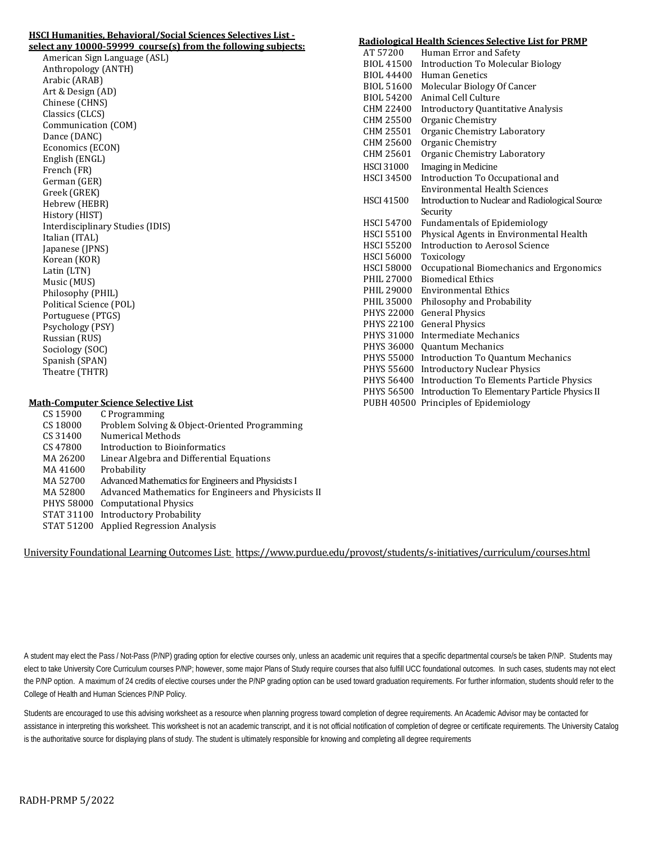## **HSCI Humanities, Behavioral/Social Sciences Selectives List -**

**select any 10000-59999 course(s) from the following subjects:** American Sign Language (ASL) Anthropology (ANTH) Arabic (ARAB) Art & Design (AD) Chinese (CHNS) Classics (CLCS) Communication (COM) Dance (DANC) Economics (ECON) English (ENGL) French (FR) German (GER) Greek (GREK) Hebrew (HEBR) History (HIST) Interdisciplinary Studies (IDIS) Italian (ITAL) Japanese (JPNS) Korean (KOR) Latin (LTN) Music (MUS) Philosophy (PHIL) Political Science (POL) Portuguese (PTGS) Psychology (PSY) Russian (RUS) Sociology (SOC) Spanish (SPAN) Theatre (THTR)

## **Math-Computer Science Selective List**

| CS 15900          | C Programming                                        |
|-------------------|------------------------------------------------------|
| CS 18000          | Problem Solving & Object-Oriented Programming        |
| CS 31400          | Numerical Methods                                    |
| CS 47800          | Introduction to Bioinformatics                       |
| MA 26200          | Linear Algebra and Differential Equations            |
| MA41600           | Probability                                          |
| MA 52700          | Advanced Mathematics for Engineers and Physicists I  |
| MA 52800          | Advanced Mathematics for Engineers and Physicists II |
| <b>PHYS 58000</b> | <b>Computational Physics</b>                         |
|                   | STAT 31100 Introductory Probability                  |
| STAT 51200        | <b>Applied Regression Analysis</b>                   |
|                   |                                                      |

University Foundational Learning Outcomes List:<https://www.purdue.edu/provost/students/s-initiatives/curriculum/courses.html>

A student may elect the Pass / Not-Pass (P/NP) grading option for elective courses only, unless an academic unit requires that a specific departmental course/s be taken P/NP. Students may elect to take University Core Curriculum courses P/NP; however, some major Plans of Study require courses that also fulfill UCC foundational outcomes. In such cases, students may not elect the P/NP option. A maximum of 24 credits of elective courses under the P/NP grading option can be used toward graduation requirements. For further information, students should refer to the College of Health and Human Sciences P/NP Policy.

Students are encouraged to use this advising worksheet as a resource when planning progress toward completion of degree requirements. An Academic Advisor may be contacted for assistance in interpreting this worksheet. This worksheet is not an academic transcript, and it is not official notification of completion of degree or certificate requirements. The University Catalog is the authoritative source for displaying plans of study. The student is ultimately responsible for knowing and completing all degree requirements

## **Radiological Health Sciences Selective List for PRMP** Human Error and Safety

| <b>BIOL 41500</b> | <b>Introduction To Molecular Biology</b>         |
|-------------------|--------------------------------------------------|
| <b>BIOL 44400</b> | Human Genetics                                   |
| <b>BIOL 51600</b> | Molecular Biology Of Cancer                      |
| <b>BIOL 54200</b> | <b>Animal Cell Culture</b>                       |
| <b>CHM 22400</b>  | <b>Introductory Quantitative Analysis</b>        |
| CHM 25500         | Organic Chemistry                                |
| CHM 25501         | Organic Chemistry Laboratory                     |
| CHM 25600         | Organic Chemistry                                |
| CHM 25601         | Organic Chemistry Laboratory                     |
| <b>HSCI 31000</b> | <b>Imaging in Medicine</b>                       |
| <b>HSCI 34500</b> | Introduction To Occupational and                 |
|                   | <b>Environmental Health Sciences</b>             |
| <b>HSCI 41500</b> | Introduction to Nuclear and Radiological Source  |
|                   | Security                                         |
| <b>HSCI 54700</b> | <b>Fundamentals of Epidemiology</b>              |
| <b>HSCI 55100</b> | Physical Agents in Environmental Health          |
| <b>HSCI 55200</b> | <b>Introduction to Aerosol Science</b>           |
| <b>HSCI 56000</b> | Toxicology                                       |
| <b>HSCI 58000</b> | Occupational Biomechanics and Ergonomics         |
| PHIL 27000        | <b>Biomedical Ethics</b>                         |
| PHIL 29000        | <b>Environmental Ethics</b>                      |
| PHIL 35000        | Philosophy and Probability                       |
| <b>PHYS 22000</b> | <b>General Physics</b>                           |
| <b>PHYS 22100</b> | <b>General Physics</b>                           |
| PHYS 31000        | Intermediate Mechanics                           |
| <b>PHYS 36000</b> | <b>Quantum Mechanics</b>                         |
| <b>PHYS 55000</b> | <b>Introduction To Quantum Mechanics</b>         |
| <b>PHYS 55600</b> | <b>Introductory Nuclear Physics</b>              |
| <b>PHYS 56400</b> | <b>Introduction To Elements Particle Physics</b> |
| <b>PHYS 56500</b> | Introduction To Elementary Particle Physics II   |
| <b>PUBH 40500</b> | Principles of Epidemiology                       |
|                   |                                                  |